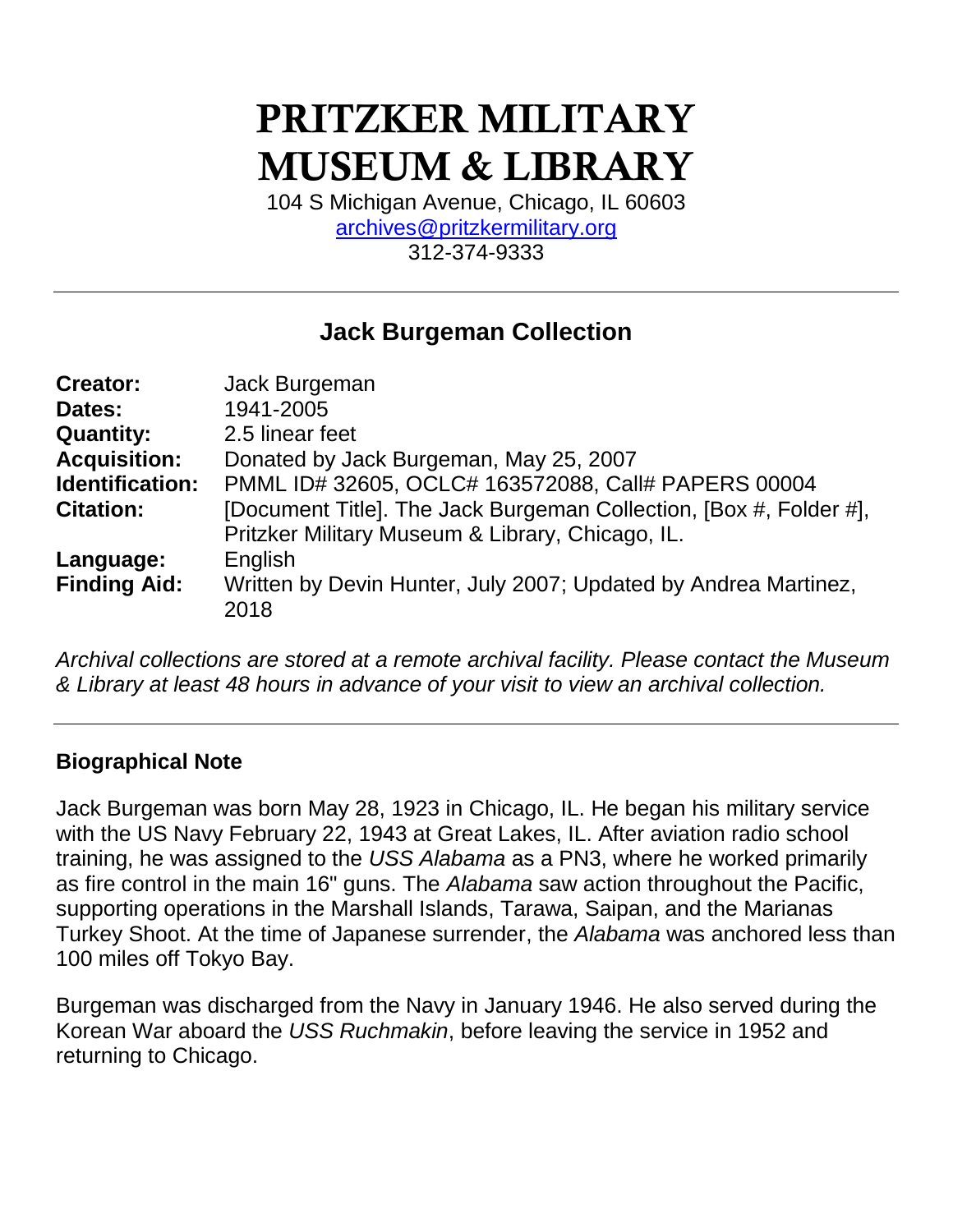# **PRITZKER MILITARY MUSEUM & LIBRARY**

104 S Michigan Avenue, Chicago, IL 60603 [archives@pritzkermilitary.org](mailto:archives@pritzkermilitary.org) 312-374-9333

# **Jack Burgeman Collection**

| <b>Creator:</b>     | Jack Burgeman                                                      |
|---------------------|--------------------------------------------------------------------|
| Dates:              | 1941-2005                                                          |
| <b>Quantity:</b>    | 2.5 linear feet                                                    |
| <b>Acquisition:</b> | Donated by Jack Burgeman, May 25, 2007                             |
| Identification:     | PMML ID# 32605, OCLC# 163572088, Call# PAPERS 00004                |
| <b>Citation:</b>    | [Document Title]. The Jack Burgeman Collection, [Box #, Folder #], |
|                     | Pritzker Military Museum & Library, Chicago, IL.                   |
| Language:           | English                                                            |
| <b>Finding Aid:</b> | Written by Devin Hunter, July 2007; Updated by Andrea Martinez,    |
|                     | 2018                                                               |

*Archival collections are stored at a remote archival facility. Please contact the Museum & Library at least 48 hours in advance of your visit to view an archival collection.*

### **Biographical Note**

Jack Burgeman was born May 28, 1923 in Chicago, IL. He began his military service with the US Navy February 22, 1943 at Great Lakes, IL. After aviation radio school training, he was assigned to the *USS Alabama* as a PN3, where he worked primarily as fire control in the main 16" guns. The *Alabama* saw action throughout the Pacific, supporting operations in the Marshall Islands, Tarawa, Saipan, and the Marianas Turkey Shoot. At the time of Japanese surrender, the *Alabama* was anchored less than 100 miles off Tokyo Bay.

Burgeman was discharged from the Navy in January 1946. He also served during the Korean War aboard the *USS Ruchmakin*, before leaving the service in 1952 and returning to Chicago.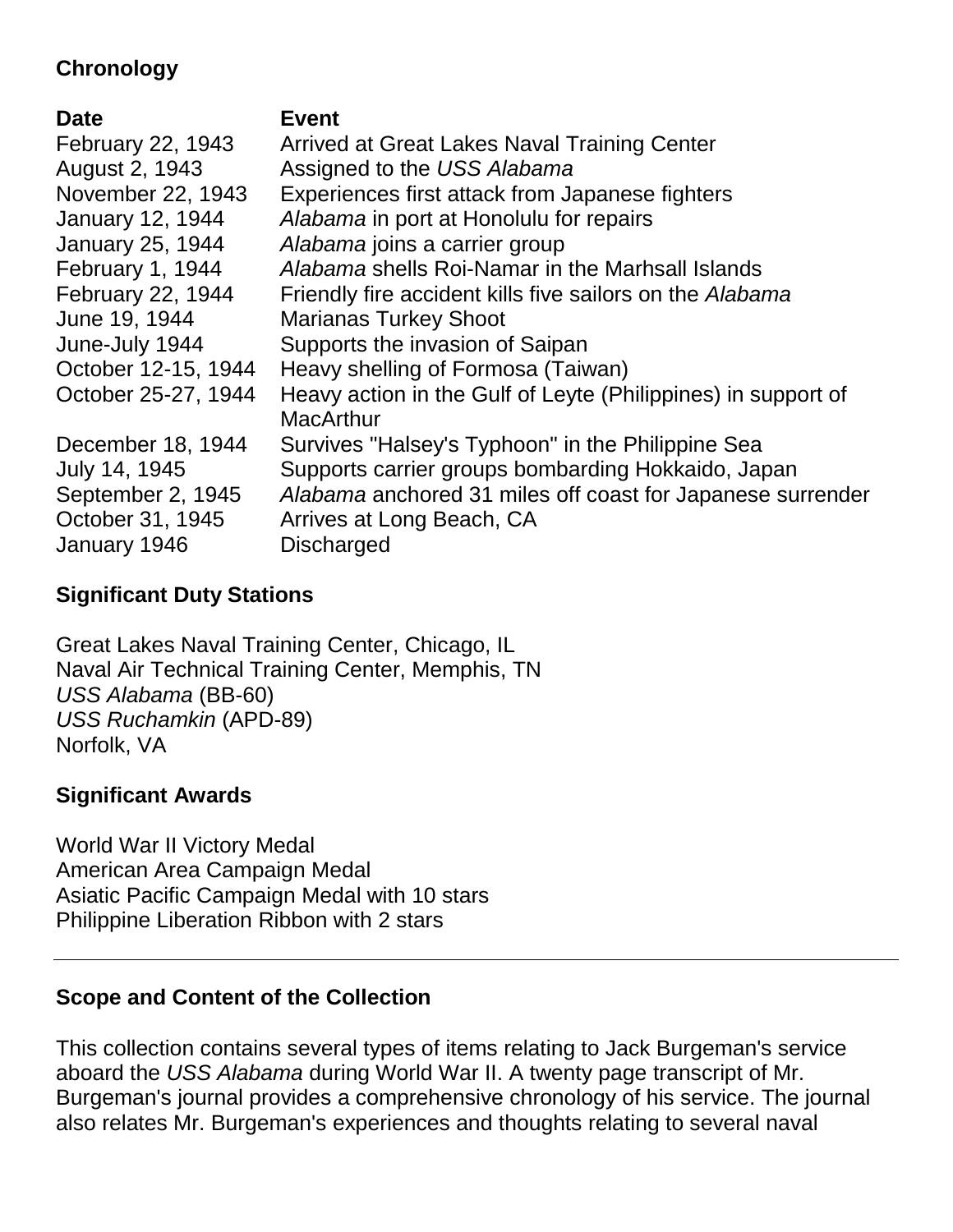# **Chronology**

#### **Date Event**

| February 22, 1943       | Arrived at Great Lakes Naval Training Center                  |
|-------------------------|---------------------------------------------------------------|
| August 2, 1943          | Assigned to the USS Alabama                                   |
| November 22, 1943       | Experiences first attack from Japanese fighters               |
| <b>January 12, 1944</b> | Alabama in port at Honolulu for repairs                       |
| <b>January 25, 1944</b> | Alabama joins a carrier group                                 |
| February 1, 1944        | Alabama shells Roi-Namar in the Marhsall Islands              |
| February 22, 1944       | Friendly fire accident kills five sailors on the Alabama      |
| June 19, 1944           | <b>Marianas Turkey Shoot</b>                                  |
| June-July 1944          | Supports the invasion of Saipan                               |
| October 12-15, 1944     | Heavy shelling of Formosa (Taiwan)                            |
| October 25-27, 1944     | Heavy action in the Gulf of Leyte (Philippines) in support of |
|                         | <b>MacArthur</b>                                              |
| December 18, 1944       | Survives "Halsey's Typhoon" in the Philippine Sea             |
| July 14, 1945           | Supports carrier groups bombarding Hokkaido, Japan            |
| September 2, 1945       | Alabama anchored 31 miles off coast for Japanese surrender    |
| October 31, 1945        | Arrives at Long Beach, CA                                     |
| January 1946            | <b>Discharged</b>                                             |

# **Significant Duty Stations**

Great Lakes Naval Training Center, Chicago, IL Naval Air Technical Training Center, Memphis, TN *USS Alabama* (BB-60) *USS Ruchamkin* (APD-89) Norfolk, VA

### **Significant Awards**

World War II Victory Medal American Area Campaign Medal Asiatic Pacific Campaign Medal with 10 stars Philippine Liberation Ribbon with 2 stars

### **Scope and Content of the Collection**

This collection contains several types of items relating to Jack Burgeman's service aboard the *USS Alabama* during World War II. A twenty page transcript of Mr. Burgeman's journal provides a comprehensive chronology of his service. The journal also relates Mr. Burgeman's experiences and thoughts relating to several naval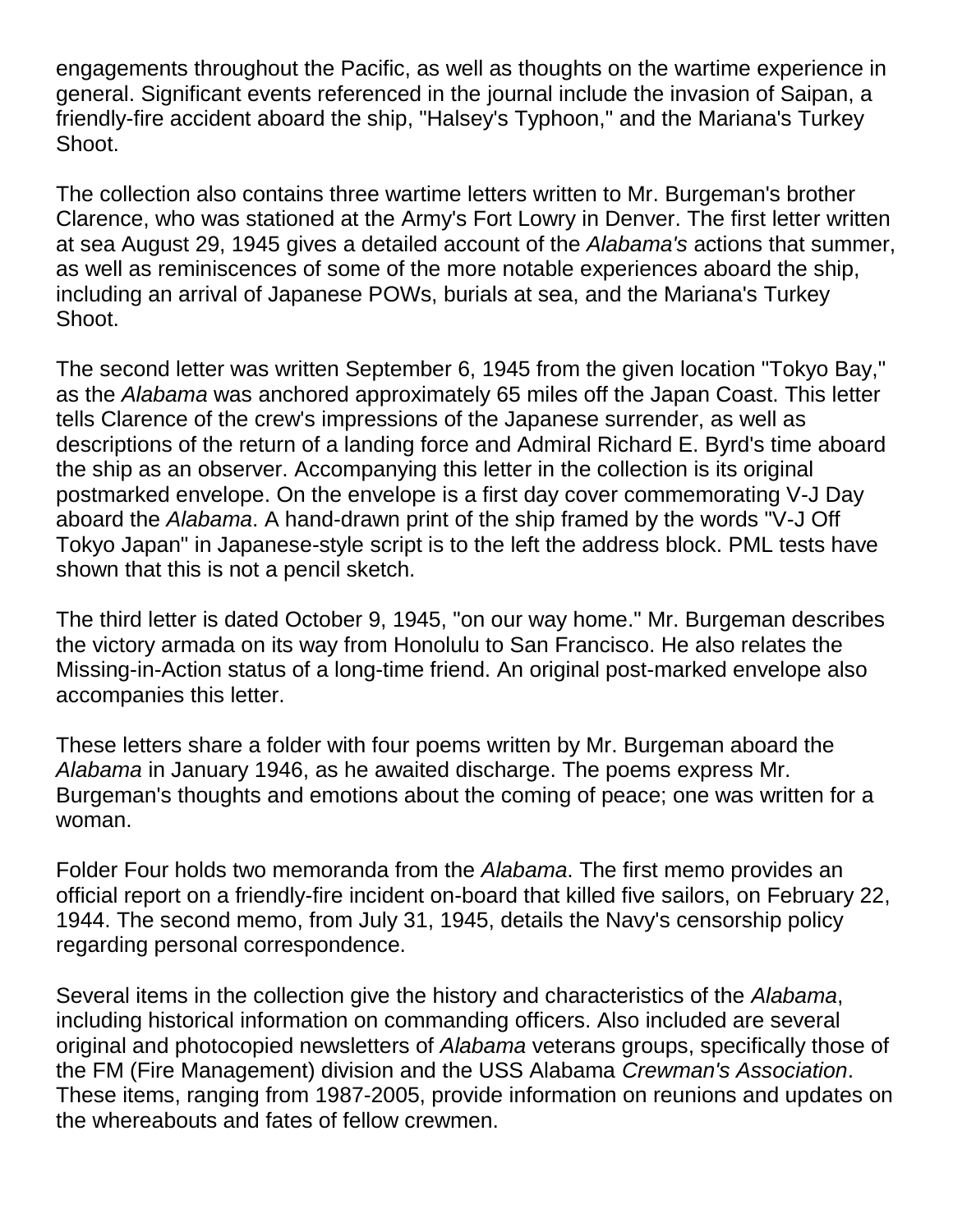engagements throughout the Pacific, as well as thoughts on the wartime experience in general. Significant events referenced in the journal include the invasion of Saipan, a friendly-fire accident aboard the ship, "Halsey's Typhoon," and the Mariana's Turkey Shoot.

The collection also contains three wartime letters written to Mr. Burgeman's brother Clarence, who was stationed at the Army's Fort Lowry in Denver. The first letter written at sea August 29, 1945 gives a detailed account of the *Alabama's* actions that summer, as well as reminiscences of some of the more notable experiences aboard the ship, including an arrival of Japanese POWs, burials at sea, and the Mariana's Turkey Shoot.

The second letter was written September 6, 1945 from the given location "Tokyo Bay," as the *Alabama* was anchored approximately 65 miles off the Japan Coast. This letter tells Clarence of the crew's impressions of the Japanese surrender, as well as descriptions of the return of a landing force and Admiral Richard E. Byrd's time aboard the ship as an observer. Accompanying this letter in the collection is its original postmarked envelope. On the envelope is a first day cover commemorating V-J Day aboard the *Alabama*. A hand-drawn print of the ship framed by the words "V-J Off Tokyo Japan" in Japanese-style script is to the left the address block. PML tests have shown that this is not a pencil sketch.

The third letter is dated October 9, 1945, "on our way home." Mr. Burgeman describes the victory armada on its way from Honolulu to San Francisco. He also relates the Missing-in-Action status of a long-time friend. An original post-marked envelope also accompanies this letter.

These letters share a folder with four poems written by Mr. Burgeman aboard the *Alabama* in January 1946, as he awaited discharge. The poems express Mr. Burgeman's thoughts and emotions about the coming of peace; one was written for a woman.

Folder Four holds two memoranda from the *Alabama*. The first memo provides an official report on a friendly-fire incident on-board that killed five sailors, on February 22, 1944. The second memo, from July 31, 1945, details the Navy's censorship policy regarding personal correspondence.

Several items in the collection give the history and characteristics of the *Alabama*, including historical information on commanding officers. Also included are several original and photocopied newsletters of *Alabama* veterans groups, specifically those of the FM (Fire Management) division and the USS Alabama *Crewman's Association*. These items, ranging from 1987-2005, provide information on reunions and updates on the whereabouts and fates of fellow crewmen.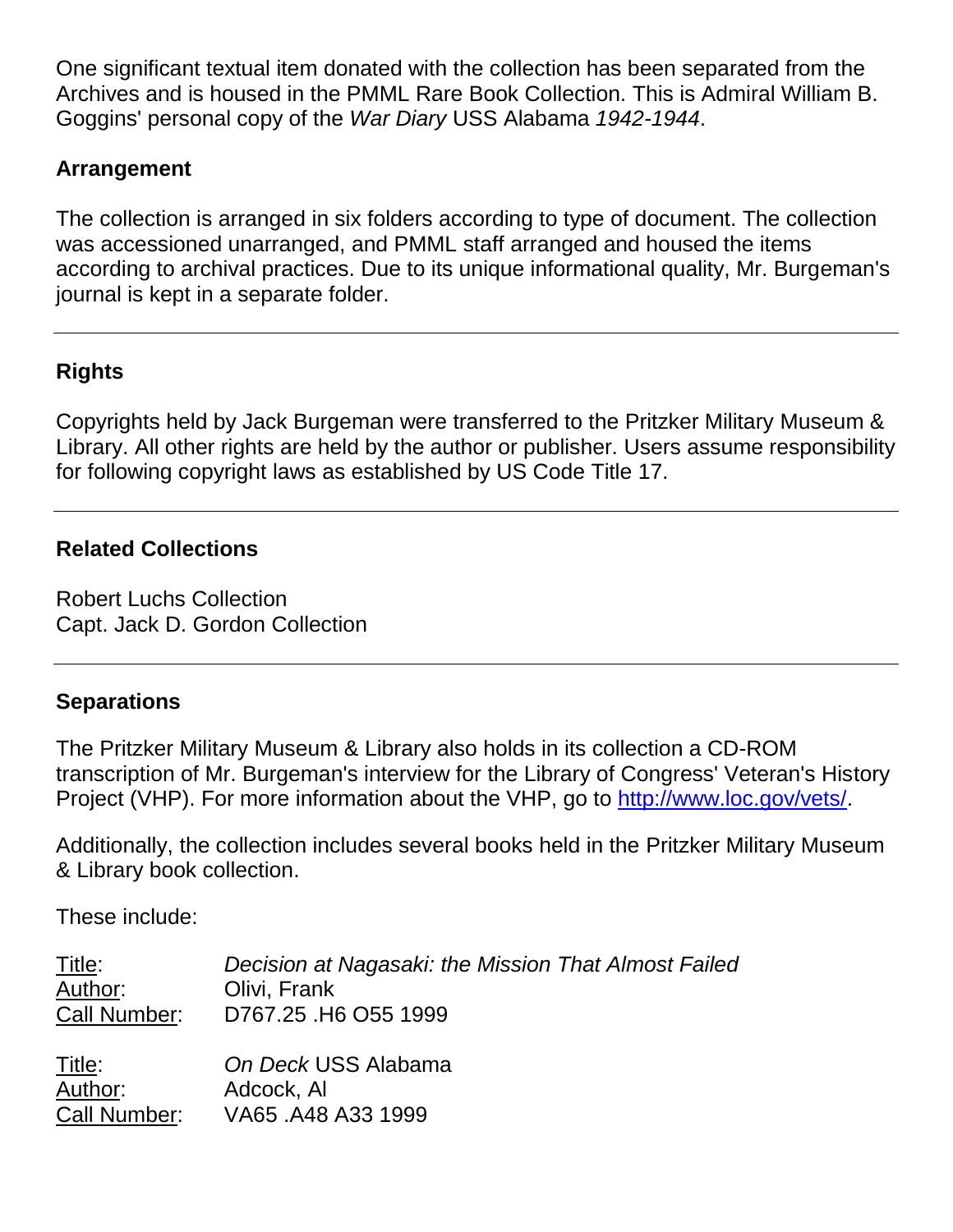One significant textual item donated with the collection has been separated from the Archives and is housed in the PMML Rare Book Collection. This is Admiral William B. Goggins' personal copy of the *War Diary* USS Alabama *1942-1944*.

## **Arrangement**

The collection is arranged in six folders according to type of document. The collection was accessioned unarranged, and PMML staff arranged and housed the items according to archival practices. Due to its unique informational quality, Mr. Burgeman's journal is kept in a separate folder.

# **Rights**

Copyrights held by Jack Burgeman were transferred to the Pritzker Military Museum & Library. All other rights are held by the author or publisher. Users assume responsibility for following copyright laws as established by US Code Title 17.

#### **Related Collections**

Robert Luchs Collection Capt. Jack D. Gordon Collection

#### **Separations**

The Pritzker Military Museum & Library also holds in its collection a CD-ROM transcription of Mr. Burgeman's interview for the Library of Congress' Veteran's History Project (VHP). For more information about the VHP, go to [http://www.loc.gov/vets/.](http://www.loc.gov/vets/)

Additionally, the collection includes several books held in the Pritzker Military Museum & Library book collection.

These include:

| <u>Title:</u> | Decision at Nagasaki: the Mission That Almost Failed |
|---------------|------------------------------------------------------|
| Author:       | Olivi, Frank                                         |
| Call Number:  | D767.25 .H6 O55 1999                                 |
| Title:        | On Deck USS Alabama                                  |
| Author:       | Adcock, Al                                           |
| Call Number:  | VA65 .A48 A33 1999                                   |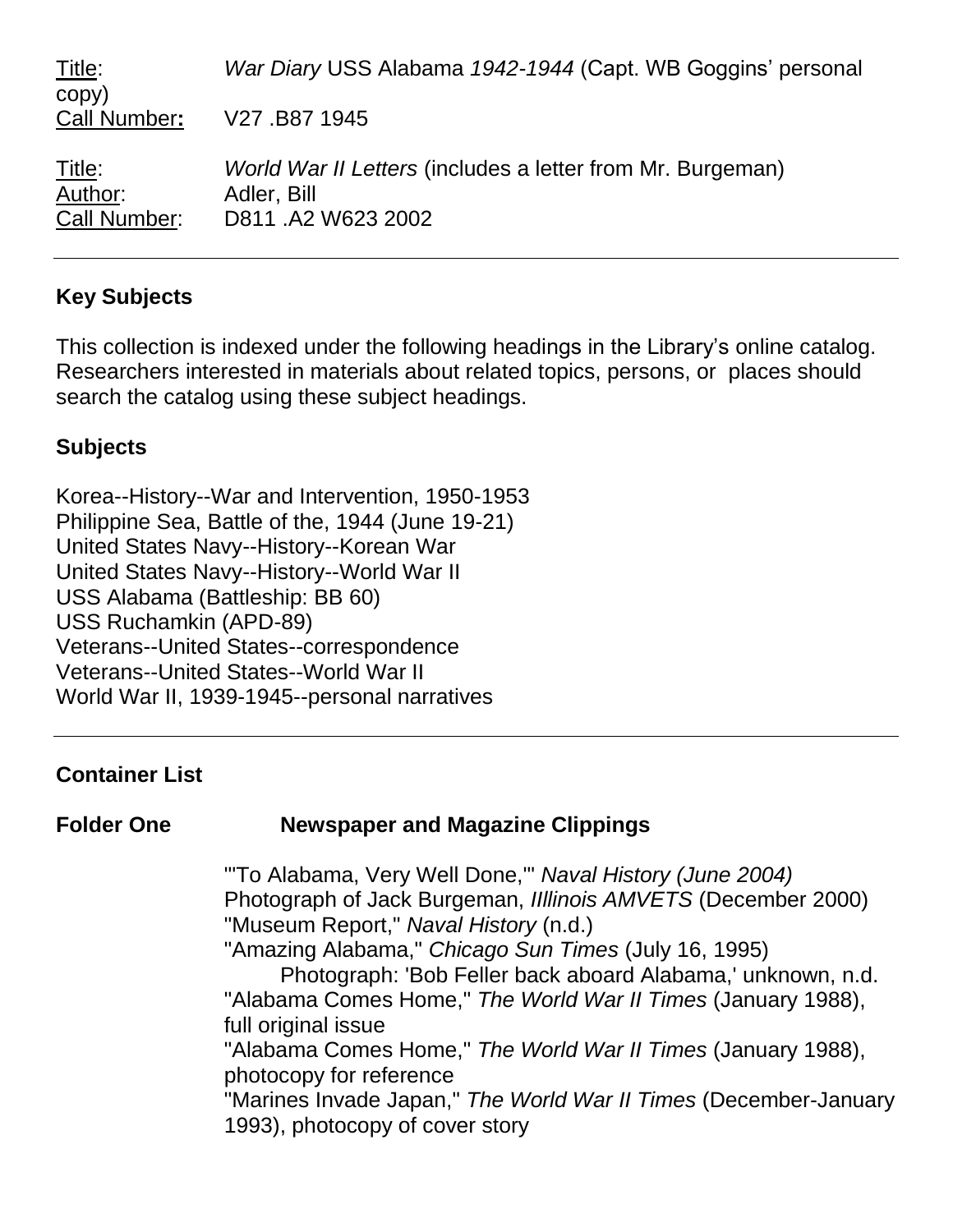| Title:<br>copy)                          | War Diary USS Alabama 1942-1944 (Capt. WB Goggins' personal                                            |
|------------------------------------------|--------------------------------------------------------------------------------------------------------|
| Call Number:                             | V27.B871945                                                                                            |
| <u>Title:</u><br>Author:<br>Call Number: | <i>World War II Letters (includes a letter from Mr. Burgeman)</i><br>Adler, Bill<br>D811 .A2 W623 2002 |

### **Key Subjects**

This collection is indexed under the following headings in the Library's online catalog. Researchers interested in materials about related topics, persons, or places should search the catalog using these subject headings.

#### **Subjects**

Korea--History--War and Intervention, 1950-1953 Philippine Sea, Battle of the, 1944 (June 19-21) United States Navy--History--Korean War United States Navy--History--World War II USS Alabama (Battleship: BB 60) USS Ruchamkin (APD-89) Veterans--United States--correspondence Veterans--United States--World War II World War II, 1939-1945--personal narratives

#### **Container List**

| <b>Folder One</b> | <b>Newspaper and Magazine Clippings</b> |  |
|-------------------|-----------------------------------------|--|
|-------------------|-----------------------------------------|--|

"'To Alabama, Very Well Done,'" *Naval History (June 2004)* Photograph of Jack Burgeman, *IIllinois AMVETS* (December 2000) "Museum Report," *Naval History* (n.d.)

"Amazing Alabama," *Chicago Sun Times* (July 16, 1995)

Photograph: 'Bob Feller back aboard Alabama,' unknown, n.d. "Alabama Comes Home," *The World War II Times* (January 1988), full original issue

"Alabama Comes Home," *The World War II Times* (January 1988), photocopy for reference

"Marines Invade Japan," *The World War II Times* (December-January 1993), photocopy of cover story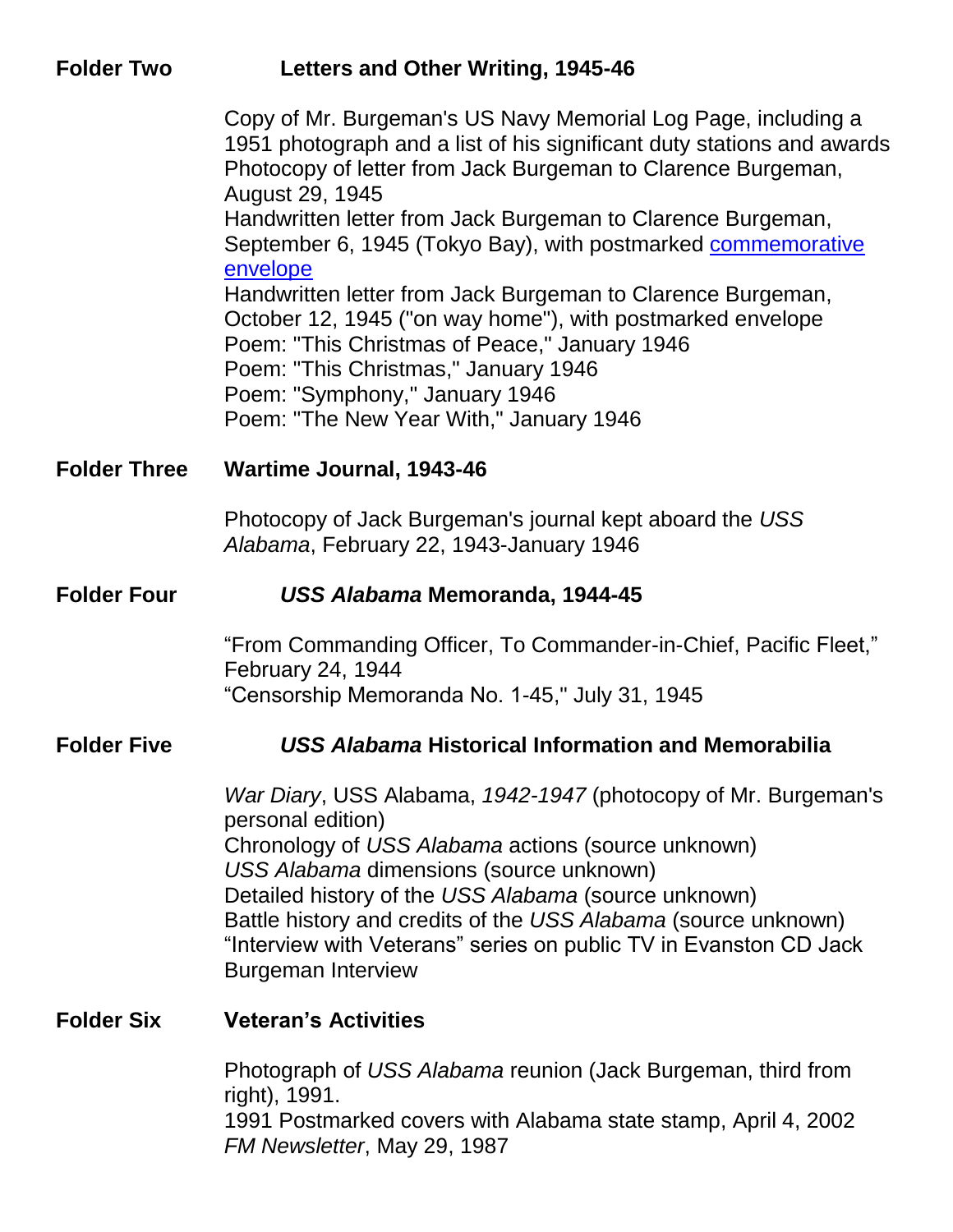| <b>Folder Two</b>   | Letters and Other Writing, 1945-46                                                                                                                                                                                                                                                                                                                                                                               |
|---------------------|------------------------------------------------------------------------------------------------------------------------------------------------------------------------------------------------------------------------------------------------------------------------------------------------------------------------------------------------------------------------------------------------------------------|
|                     | Copy of Mr. Burgeman's US Navy Memorial Log Page, including a<br>1951 photograph and a list of his significant duty stations and awards<br>Photocopy of letter from Jack Burgeman to Clarence Burgeman,<br>August 29, 1945                                                                                                                                                                                       |
|                     | Handwritten letter from Jack Burgeman to Clarence Burgeman,<br>September 6, 1945 (Tokyo Bay), with postmarked commemorative<br>envelope<br>Handwritten letter from Jack Burgeman to Clarence Burgeman,                                                                                                                                                                                                           |
|                     | October 12, 1945 ("on way home"), with postmarked envelope<br>Poem: "This Christmas of Peace," January 1946<br>Poem: "This Christmas," January 1946<br>Poem: "Symphony," January 1946                                                                                                                                                                                                                            |
|                     | Poem: "The New Year With," January 1946                                                                                                                                                                                                                                                                                                                                                                          |
| <b>Folder Three</b> | <b>Wartime Journal, 1943-46</b>                                                                                                                                                                                                                                                                                                                                                                                  |
|                     | Photocopy of Jack Burgeman's journal kept aboard the USS<br>Alabama, February 22, 1943-January 1946                                                                                                                                                                                                                                                                                                              |
| <b>Folder Four</b>  | USS Alabama Memoranda, 1944-45                                                                                                                                                                                                                                                                                                                                                                                   |
|                     | "From Commanding Officer, To Commander-in-Chief, Pacific Fleet,"<br>February 24, 1944<br>"Censorship Memoranda No. 1-45," July 31, 1945                                                                                                                                                                                                                                                                          |
| <b>Folder Five</b>  | <b>USS Alabama Historical Information and Memorabilia</b>                                                                                                                                                                                                                                                                                                                                                        |
|                     | War Diary, USS Alabama, 1942-1947 (photocopy of Mr. Burgeman's<br>personal edition)<br>Chronology of USS Alabama actions (source unknown)<br>USS Alabama dimensions (source unknown)<br>Detailed history of the USS Alabama (source unknown)<br>Battle history and credits of the USS Alabama (source unknown)<br>"Interview with Veterans" series on public TV in Evanston CD Jack<br><b>Burgeman Interview</b> |
| <b>Folder Six</b>   | <b>Veteran's Activities</b>                                                                                                                                                                                                                                                                                                                                                                                      |
|                     | Photograph of USS Alabama reunion (Jack Burgeman, third from<br>right), 1991.<br>1991 Postmarked covers with Alabama state stamp, April 4, 2002<br>FM Newsletter, May 29, 1987                                                                                                                                                                                                                                   |